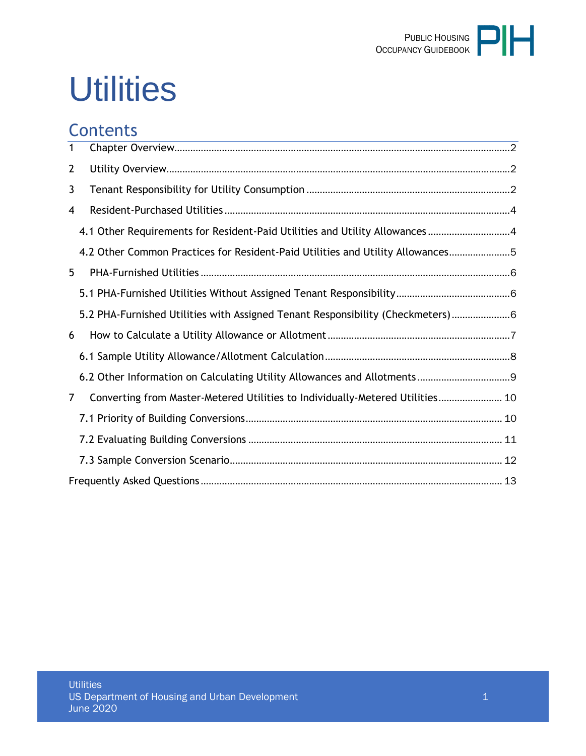

# **Utilities**

## **Contents**

| $\mathbf{1}$ |                                                                                 |  |
|--------------|---------------------------------------------------------------------------------|--|
| $\mathbf{2}$ |                                                                                 |  |
| 3            |                                                                                 |  |
| 4            |                                                                                 |  |
|              | 4.1 Other Requirements for Resident-Paid Utilities and Utility Allowances 4     |  |
|              | 4.2 Other Common Practices for Resident-Paid Utilities and Utility Allowances5  |  |
| 5            |                                                                                 |  |
|              |                                                                                 |  |
|              | 5.2 PHA-Furnished Utilities with Assigned Tenant Responsibility (Checkmeters) 6 |  |
| 6            |                                                                                 |  |
|              |                                                                                 |  |
|              |                                                                                 |  |
| 7            | Converting from Master-Metered Utilities to Individually-Metered Utilities 10   |  |
|              |                                                                                 |  |
|              |                                                                                 |  |
|              |                                                                                 |  |
|              |                                                                                 |  |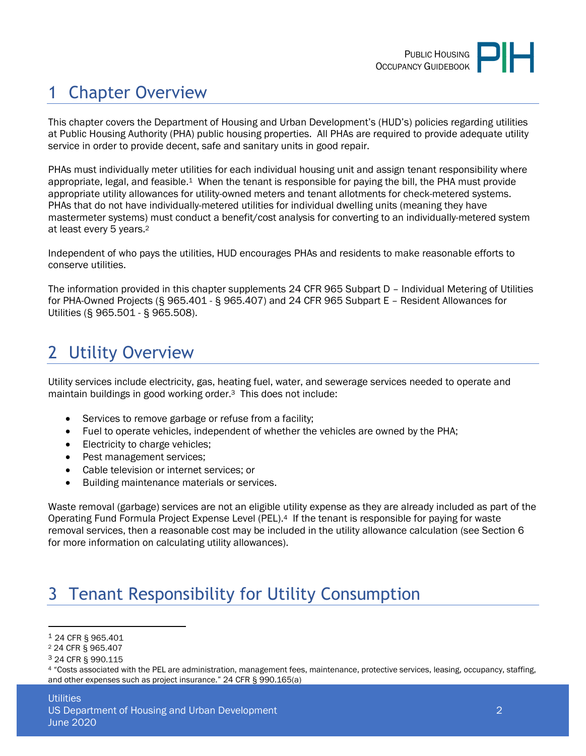# <span id="page-1-0"></span>1 Chapter Overview

This chapter covers the Department of Housing and Urban Development's (HUD's) policies regarding utilities at Public Housing Authority (PHA) public housing properties. All PHAs are required to provide adequate utility service in order to provide decent, safe and sanitary units in good repair.

PHAs must individually meter utilities for each individual housing unit and assign tenant responsibility where appropriate, legal, and feasible.1 When the tenant is responsible for paying the bill, the PHA must provide appropriate utility allowances for utility-owned meters and tenant allotments for check-metered systems. PHAs that do not have individually-metered utilities for individual dwelling units (meaning they have mastermeter systems) must conduct a benefit/cost analysis for converting to an individually-metered system at least every 5 years.<sup>2</sup>

Independent of who pays the utilities, HUD encourages PHAs and residents to make reasonable efforts to conserve utilities.

The information provided in this chapter supplements 24 CFR 965 Subpart D – Individual Metering of Utilities for PHA-Owned Projects (§ 965.401 - § 965.407) and 24 CFR 965 Subpart E – Resident Allowances for Utilities (§ 965.501 - § 965.508).

## <span id="page-1-1"></span>2 Utility Overview

Utility services include electricity, gas, heating fuel, water, and sewerage services needed to operate and maintain buildings in good working order.3 This does not include:

- Services to remove garbage or refuse from a facility;
- Fuel to operate vehicles, independent of whether the vehicles are owned by the PHA;
- Electricity to charge vehicles;
- Pest management services;
- Cable television or internet services; or
- Building maintenance materials or services.

Waste removal (garbage) services are not an eligible utility expense as they are already included as part of the Operating Fund Formula Project Expense Level (PEL).4 If the tenant is responsible for paying for waste removal services, then a reasonable cost may be included in the utility allowance calculation (see Section 6 for more information on calculating utility allowances).

## <span id="page-1-2"></span>3 Tenant Responsibility for Utility Consumption

<sup>1</sup> 24 CFR § 965.401

<sup>2</sup> 24 CFR § 965.407

<sup>3</sup> 24 CFR § 990.115

<sup>4</sup> "Costs associated with the PEL are administration, management fees, maintenance, protective services, leasing, occupancy, staffing, and other expenses such as project insurance." 24 CFR § 990.165(a)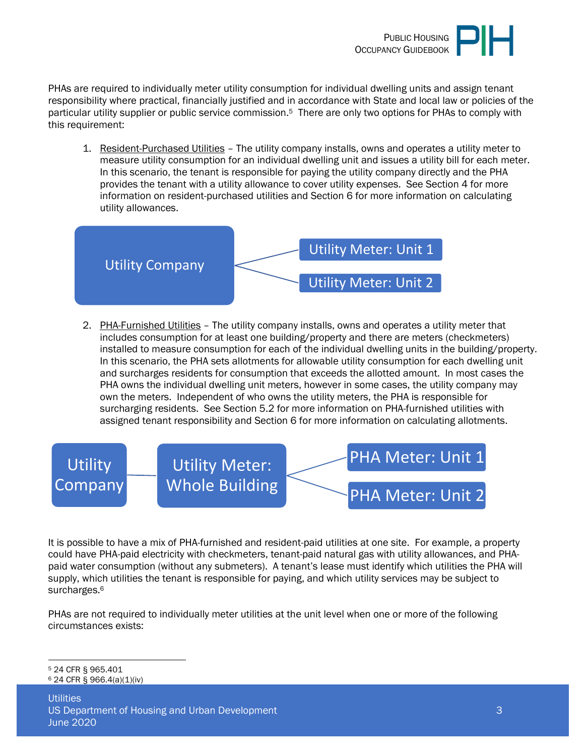

PHAs are required to individually meter utility consumption for individual dwelling units and assign tenant responsibility where practical, financially justified and in accordance with State and local law or policies of the particular utility supplier or public service commission.5 There are only two options for PHAs to comply with this requirement:

1. Resident-Purchased Utilities – The utility company installs, owns and operates a utility meter to measure utility consumption for an individual dwelling unit and issues a utility bill for each meter. In this scenario, the tenant is responsible for paying the utility company directly and the PHA provides the tenant with a utility allowance to cover utility expenses. See Section 4 for more information on resident-purchased utilities and Section 6 for more information on calculating utility allowances.



2. PHA-Furnished Utilities – The utility company installs, owns and operates a utility meter that includes consumption for at least one building/property and there are meters (checkmeters) installed to measure consumption for each of the individual dwelling units in the building/property. In this scenario, the PHA sets allotments for allowable utility consumption for each dwelling unit and surcharges residents for consumption that exceeds the allotted amount. In most cases the PHA owns the individual dwelling unit meters, however in some cases, the utility company may own the meters. Independent of who owns the utility meters, the PHA is responsible for surcharging residents. See Section 5.2 for more information on PHA-furnished utilities with assigned tenant responsibility and Section 6 for more information on calculating allotments.



It is possible to have a mix of PHA-furnished and resident-paid utilities at one site. For example, a property could have PHA-paid electricity with checkmeters, tenant-paid natural gas with utility allowances, and PHApaid water consumption (without any submeters). A tenant's lease must identify which utilities the PHA will supply, which utilities the tenant is responsible for paying, and which utility services may be subject to surcharges.<sup>6</sup>

PHAs are not required to individually meter utilities at the unit level when one or more of the following circumstances exists:

<sup>5</sup> 24 CFR § 965.401  $624$  CFR § 966.4(a)(1)(iv)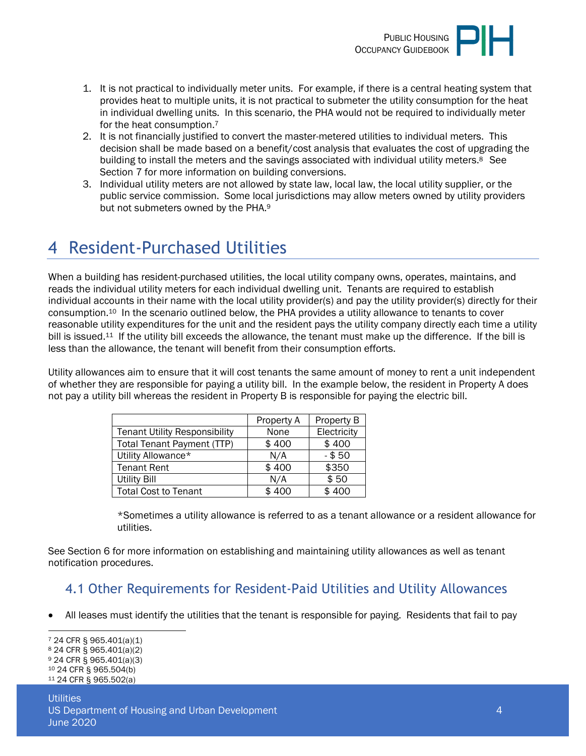

- 1. It is not practical to individually meter units. For example, if there is a central heating system that provides heat to multiple units, it is not practical to submeter the utility consumption for the heat in individual dwelling units. In this scenario, the PHA would not be required to individually meter for the heat consumption.<sup>7</sup>
- 2. It is not financially justified to convert the master-metered utilities to individual meters. This decision shall be made based on a benefit/cost analysis that evaluates the cost of upgrading the building to install the meters and the savings associated with individual utility meters.<sup>8</sup> See Section 7 for more information on building conversions.
- 3. Individual utility meters are not allowed by state law, local law, the local utility supplier, or the public service commission. Some local jurisdictions may allow meters owned by utility providers but not submeters owned by the PHA.<sup>9</sup>

## <span id="page-3-0"></span>4 Resident-Purchased Utilities

When a building has resident-purchased utilities, the local utility company owns, operates, maintains, and reads the individual utility meters for each individual dwelling unit. Tenants are required to establish individual accounts in their name with the local utility provider(s) and pay the utility provider(s) directly for their consumption.10 In the scenario outlined below, the PHA provides a utility allowance to tenants to cover reasonable utility expenditures for the unit and the resident pays the utility company directly each time a utility bill is issued.<sup>11</sup> If the utility bill exceeds the allowance, the tenant must make up the difference. If the bill is less than the allowance, the tenant will benefit from their consumption efforts.

Utility allowances aim to ensure that it will cost tenants the same amount of money to rent a unit independent of whether they are responsible for paying a utility bill. In the example below, the resident in Property A does not pay a utility bill whereas the resident in Property B is responsible for paying the electric bill.

|                                      | Property A | Property B  |
|--------------------------------------|------------|-------------|
| <b>Tenant Utility Responsibility</b> | None       | Electricity |
| <b>Total Tenant Payment (TTP)</b>    | \$400      | \$400       |
| Utility Allowance*                   | N/A        | $-$ \$50    |
| <b>Tenant Rent</b>                   | \$400      | \$350       |
| Utility Bill                         | N/A        | \$50        |
| <b>Total Cost to Tenant</b>          | \$400      | 400         |

\*Sometimes a utility allowance is referred to as a tenant allowance or a resident allowance for utilities.

See Section 6 for more information on establishing and maintaining utility allowances as well as tenant notification procedures.

#### <span id="page-3-1"></span>4.1 Other Requirements for Resident-Paid Utilities and Utility Allowances

All leases must identify the utilities that the tenant is responsible for paying. Residents that fail to pay

 24 CFR § 965.401(a)(1) 24 CFR § 965.401(a)(2) 24 CFR § 965.401(a)(3) 24 CFR § 965.504(b) 24 CFR § 965.502(a)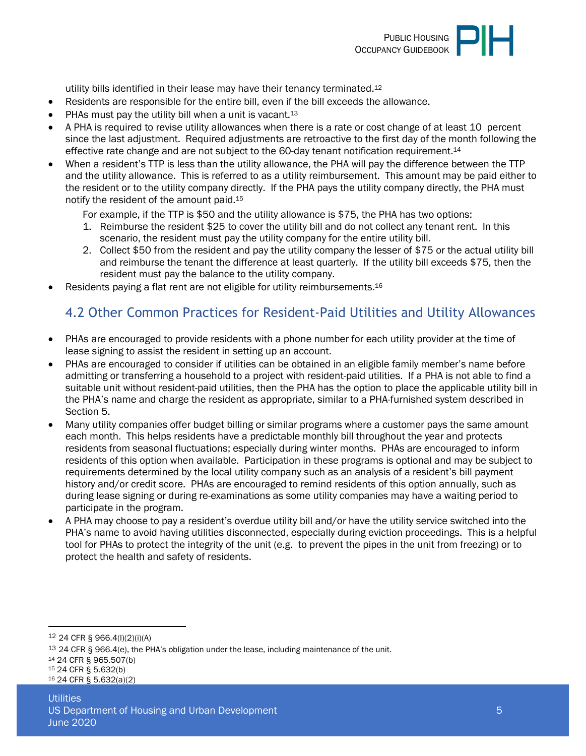

utility bills identified in their lease may have their tenancy terminated.<sup>12</sup>

- Residents are responsible for the entire bill, even if the bill exceeds the allowance.
- PHAs must pay the utility bill when a unit is vacant.<sup>13</sup>
- A PHA is required to revise utility allowances when there is a rate or cost change of at least 10 percent since the last adjustment. Required adjustments are retroactive to the first day of the month following the effective rate change and are not subject to the 60-day tenant notification requirement.<sup>14</sup>
- When a resident's TTP is less than the utility allowance, the PHA will pay the difference between the TTP and the utility allowance. This is referred to as a utility reimbursement. This amount may be paid either to the resident or to the utility company directly. If the PHA pays the utility company directly, the PHA must notify the resident of the amount paid.<sup>15</sup>

For example, if the TTP is \$50 and the utility allowance is \$75, the PHA has two options:

- 1. Reimburse the resident \$25 to cover the utility bill and do not collect any tenant rent. In this scenario, the resident must pay the utility company for the entire utility bill.
- 2. Collect \$50 from the resident and pay the utility company the lesser of \$75 or the actual utility bill and reimburse the tenant the difference at least quarterly. If the utility bill exceeds \$75, then the resident must pay the balance to the utility company.
- Residents paying a flat rent are not eligible for utility reimbursements.<sup>16</sup>

#### <span id="page-4-0"></span>4.2 Other Common Practices for Resident-Paid Utilities and Utility Allowances

- PHAs are encouraged to provide residents with a phone number for each utility provider at the time of lease signing to assist the resident in setting up an account.
- PHAs are encouraged to consider if utilities can be obtained in an eligible family member's name before admitting or transferring a household to a project with resident-paid utilities. If a PHA is not able to find a suitable unit without resident-paid utilities, then the PHA has the option to place the applicable utility bill in the PHA's name and charge the resident as appropriate, similar to a PHA-furnished system described in Section 5.
- Many utility companies offer budget billing or similar programs where a customer pays the same amount each month. This helps residents have a predictable monthly bill throughout the year and protects residents from seasonal fluctuations; especially during winter months. PHAs are encouraged to inform residents of this option when available. Participation in these programs is optional and may be subject to requirements determined by the local utility company such as an analysis of a resident's bill payment history and/or credit score. PHAs are encouraged to remind residents of this option annually, such as during lease signing or during re-examinations as some utility companies may have a waiting period to participate in the program.
- A PHA may choose to pay a resident's overdue utility bill and/or have the utility service switched into the PHA's name to avoid having utilities disconnected, especially during eviction proceedings. This is a helpful tool for PHAs to protect the integrity of the unit (e.g. to prevent the pipes in the unit from freezing) or to protect the health and safety of residents.

<sup>14</sup> 24 CFR § 965.507(b)

16 24 CFR § 5.632(a)(2)

<sup>12</sup> 24 CFR § 966.4(l)(2)(i)(A)

<sup>&</sup>lt;sup>13</sup> 24 CFR § 966.4(e), the PHA's obligation under the lease, including maintenance of the unit.

<sup>15</sup> 24 CFR § 5.632(b)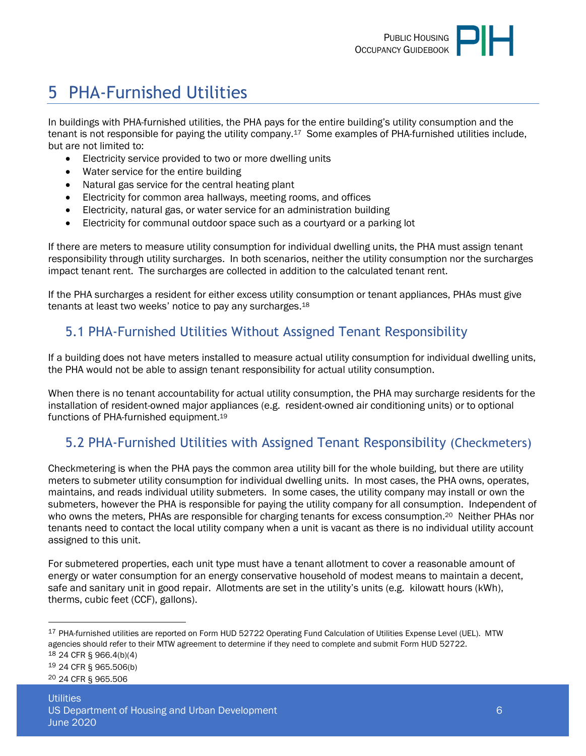# <span id="page-5-0"></span>5 PHA-Furnished Utilities

In buildings with PHA-furnished utilities, the PHA pays for the entire building's utility consumption and the tenant is not responsible for paying the utility company.17 Some examples of PHA-furnished utilities include, but are not limited to:

- Electricity service provided to two or more dwelling units
- Water service for the entire building
- Natural gas service for the central heating plant
- Electricity for common area hallways, meeting rooms, and offices
- Electricity, natural gas, or water service for an administration building
- Electricity for communal outdoor space such as a courtyard or a parking lot

If there are meters to measure utility consumption for individual dwelling units, the PHA must assign tenant responsibility through utility surcharges. In both scenarios, neither the utility consumption nor the surcharges impact tenant rent. The surcharges are collected in addition to the calculated tenant rent.

If the PHA surcharges a resident for either excess utility consumption or tenant appliances, PHAs must give tenants at least two weeks' notice to pay any surcharges.<sup>18</sup>

#### <span id="page-5-1"></span>5.1 PHA-Furnished Utilities Without Assigned Tenant Responsibility

If a building does not have meters installed to measure actual utility consumption for individual dwelling units, the PHA would not be able to assign tenant responsibility for actual utility consumption.

When there is no tenant accountability for actual utility consumption, the PHA may surcharge residents for the installation of resident-owned major appliances (e.g. resident-owned air conditioning units) or to optional functions of PHA-furnished equipment.<sup>19</sup>

#### <span id="page-5-2"></span>5.2 PHA-Furnished Utilities with Assigned Tenant Responsibility (Checkmeters)

Checkmetering is when the PHA pays the common area utility bill for the whole building, but there are utility meters to submeter utility consumption for individual dwelling units. In most cases, the PHA owns, operates, maintains, and reads individual utility submeters. In some cases, the utility company may install or own the submeters, however the PHA is responsible for paying the utility company for all consumption. Independent of who owns the meters, PHAs are responsible for charging tenants for excess consumption.<sup>20</sup> Neither PHAs nor tenants need to contact the local utility company when a unit is vacant as there is no individual utility account assigned to this unit.

For submetered properties, each unit type must have a tenant allotment to cover a reasonable amount of energy or water consumption for an energy conservative household of modest means to maintain a decent, safe and sanitary unit in good repair. Allotments are set in the utility's units (e.g. kilowatt hours (kWh), therms, cubic feet (CCF), gallons).

18 24 CFR § 966.4(b)(4)

19 24 CFR § 965.506(b)

20 24 CFR § 965.506

<sup>&</sup>lt;sup>17</sup> PHA-furnished utilities are reported on Form HUD 52722 Operating Fund Calculation of Utilities Expense Level (UEL). MTW agencies should refer to their MTW agreement to determine if they need to complete and submit Form HUD 52722.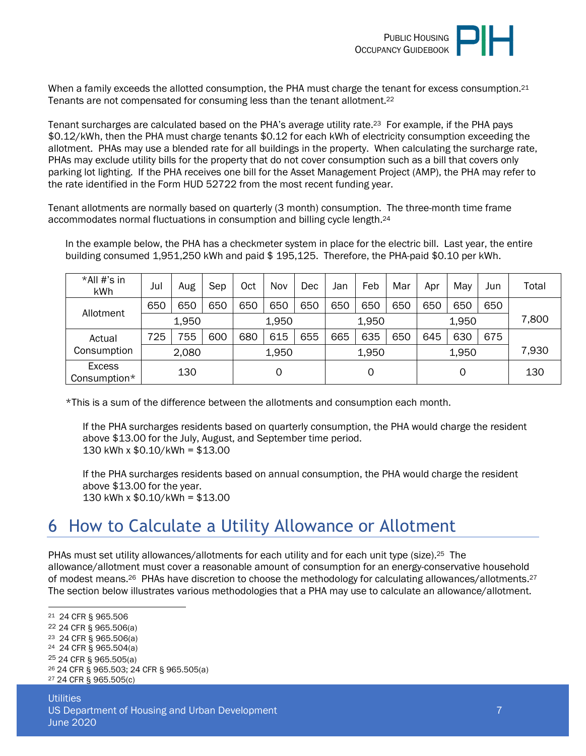

When a family exceeds the allotted consumption, the PHA must charge the tenant for excess consumption.<sup>21</sup> Tenants are not compensated for consuming less than the tenant allotment.<sup>22</sup>

Tenant surcharges are calculated based on the PHA's average utility rate.23 For example, if the PHA pays \$0.12/kWh, then the PHA must charge tenants \$0.12 for each kWh of electricity consumption exceeding the allotment. PHAs may use a blended rate for all buildings in the property. When calculating the surcharge rate, PHAs may exclude utility bills for the property that do not cover consumption such as a bill that covers only parking lot lighting. If the PHA receives one bill for the Asset Management Project (AMP), the PHA may refer to the rate identified in the Form HUD 52722 from the most recent funding year.

Tenant allotments are normally based on quarterly (3 month) consumption. The three-month time frame accommodates normal fluctuations in consumption and billing cycle length.<sup>24</sup>

In the example below, the PHA has a checkmeter system in place for the electric bill. Last year, the entire building consumed 1,951,250 kWh and paid \$ 195,125. Therefore, the PHA-paid \$0.10 per kWh.

| *All #'s in<br>kWh            | Jul | Aug   | Sep | Oct | Nov   | Dec | Jan | Feb   | Mar | Apr | May   | Jun | Total |
|-------------------------------|-----|-------|-----|-----|-------|-----|-----|-------|-----|-----|-------|-----|-------|
|                               | 650 | 650   | 650 | 650 | 650   | 650 | 650 | 650   | 650 | 650 | 650   | 650 |       |
| Allotment                     |     | 1,950 |     |     | 1,950 |     |     | 1,950 |     |     | 1,950 |     | 7,800 |
| Actual                        | 725 | 755   | 600 | 680 | 615   | 655 | 665 | 635   | 650 | 645 | 630   | 675 |       |
| Consumption                   |     | 2,080 |     |     | 1,950 |     |     | 1,950 |     |     | 1,950 |     | 7,930 |
| <b>Excess</b><br>Consumption* |     | 130   |     |     | 0     |     |     | 0     |     |     | 0     |     | 130   |

\*This is a sum of the difference between the allotments and consumption each month.

If the PHA surcharges residents based on quarterly consumption, the PHA would charge the resident above \$13.00 for the July, August, and September time period. 130 kWh x \$0.10/kWh = \$13.00

If the PHA surcharges residents based on annual consumption, the PHA would charge the resident above \$13.00 for the year. 130 kWh x \$0.10/kWh = \$13.00

## <span id="page-6-0"></span>6 How to Calculate a Utility Allowance or Allotment

PHAs must set utility allowances/allotments for each utility and for each unit type (size).<sup>25</sup> The allowance/allotment must cover a reasonable amount of consumption for an energy-conservative household of modest means.26 PHAs have discretion to choose the methodology for calculating allowances/allotments.<sup>27</sup> The section below illustrates various methodologies that a PHA may use to calculate an allowance/allotment.

 24 CFR § 965.506 24 CFR § 965.506(a) 24 CFR § 965.506(a) 24 CFR § 965.504(a) 24 CFR § 965.505(a) 24 CFR § 965.503; 24 CFR § 965.505(a) 24 CFR § 965.505(c)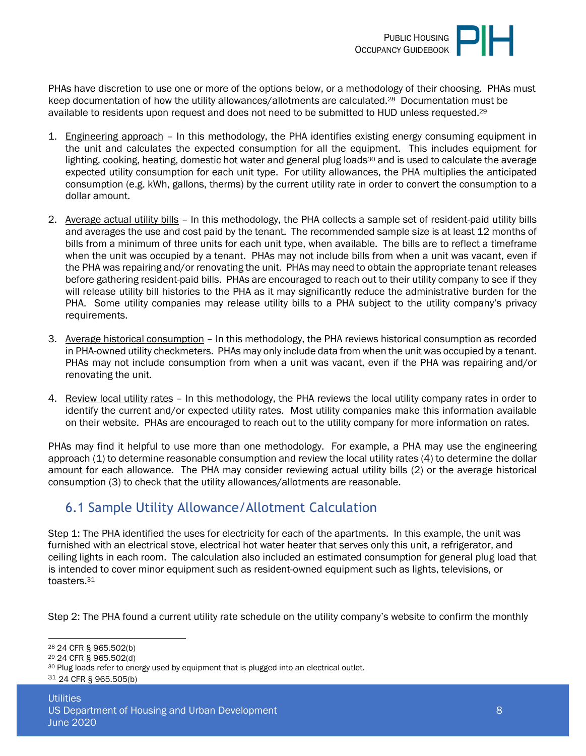

PHAs have discretion to use one or more of the options below, or a methodology of their choosing. PHAs must keep documentation of how the utility allowances/allotments are calculated.28 Documentation must be available to residents upon request and does not need to be submitted to HUD unless requested.<sup>29</sup>

- 1. Engineering approach In this methodology, the PHA identifies existing energy consuming equipment in the unit and calculates the expected consumption for all the equipment. This includes equipment for lighting, cooking, heating, domestic hot water and general plug loads<sup>30</sup> and is used to calculate the average expected utility consumption for each unit type. For utility allowances, the PHA multiplies the anticipated consumption (e.g. kWh, gallons, therms) by the current utility rate in order to convert the consumption to a dollar amount.
- 2. Average actual utility bills In this methodology, the PHA collects a sample set of resident-paid utility bills and averages the use and cost paid by the tenant. The recommended sample size is at least 12 months of bills from a minimum of three units for each unit type, when available. The bills are to reflect a timeframe when the unit was occupied by a tenant. PHAs may not include bills from when a unit was vacant, even if the PHA was repairing and/or renovating the unit. PHAs may need to obtain the appropriate tenant releases before gathering resident-paid bills. PHAs are encouraged to reach out to their utility company to see if they will release utility bill histories to the PHA as it may significantly reduce the administrative burden for the PHA. Some utility companies may release utility bills to a PHA subject to the utility company's privacy requirements.
- 3. Average historical consumption In this methodology, the PHA reviews historical consumption as recorded in PHA-owned utility checkmeters. PHAs may only include data from when the unit was occupied by a tenant. PHAs may not include consumption from when a unit was vacant, even if the PHA was repairing and/or renovating the unit.
- 4. Review local utility rates In this methodology, the PHA reviews the local utility company rates in order to identify the current and/or expected utility rates. Most utility companies make this information available on their website. PHAs are encouraged to reach out to the utility company for more information on rates.

PHAs may find it helpful to use more than one methodology. For example, a PHA may use the engineering approach (1) to determine reasonable consumption and review the local utility rates (4) to determine the dollar amount for each allowance. The PHA may consider reviewing actual utility bills (2) or the average historical consumption (3) to check that the utility allowances/allotments are reasonable.

#### <span id="page-7-0"></span>6.1 Sample Utility Allowance/Allotment Calculation

Step 1: The PHA identified the uses for electricity for each of the apartments. In this example, the unit was furnished with an electrical stove, electrical hot water heater that serves only this unit, a refrigerator, and ceiling lights in each room. The calculation also included an estimated consumption for general plug load that is intended to cover minor equipment such as resident-owned equipment such as lights, televisions, or toasters.<sup>31</sup>

Step 2: The PHA found a current utility rate schedule on the utility company's website to confirm the monthly

<sup>28</sup> 24 CFR § 965.502(b)

<sup>29</sup> 24 CFR § 965.502(d)

<sup>&</sup>lt;sup>30</sup> Plug loads refer to energy used by equipment that is plugged into an electrical outlet.

<sup>31</sup> 24 CFR § 965.505(b)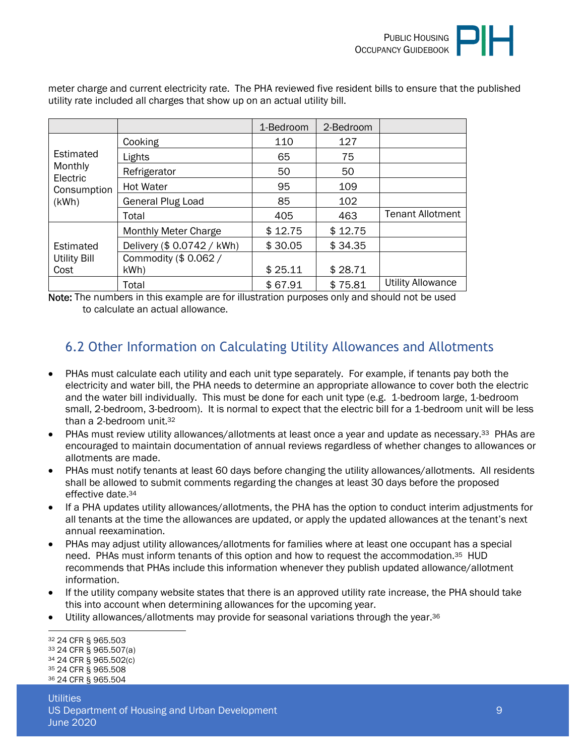|                     |                             | 1-Bedroom | 2-Bedroom |                          |
|---------------------|-----------------------------|-----------|-----------|--------------------------|
|                     | Cooking                     | 110       | 127       |                          |
| Estimated           | Lights                      | 65        | 75        |                          |
| Monthly<br>Electric | Refrigerator                | 50        | 50        |                          |
| Consumption         | <b>Hot Water</b>            | 95        | 109       |                          |
| (kWh)               | <b>General Plug Load</b>    | 85        | 102       |                          |
|                     | Total                       | 405       | 463       | <b>Tenant Allotment</b>  |
|                     | <b>Monthly Meter Charge</b> | \$12.75   | \$12.75   |                          |
| Estimated           | Delivery (\$ 0.0742 / kWh)  | \$30.05   | \$34.35   |                          |
| <b>Utility Bill</b> | Commodity (\$ 0.062 /       |           |           |                          |
| Cost                | kWh)                        | \$25.11   | \$28.71   |                          |
|                     | Total                       | \$67.91   | \$75.81   | <b>Utility Allowance</b> |

meter charge and current electricity rate. The PHA reviewed five resident bills to ensure that the published utility rate included all charges that show up on an actual utility bill.

Note: The numbers in this example are for illustration purposes only and should not be used to calculate an actual allowance.

#### <span id="page-8-0"></span>6.2 Other Information on Calculating Utility Allowances and Allotments

- PHAs must calculate each utility and each unit type separately. For example, if tenants pay both the electricity and water bill, the PHA needs to determine an appropriate allowance to cover both the electric and the water bill individually. This must be done for each unit type (e.g. 1-bedroom large, 1-bedroom small, 2-bedroom, 3-bedroom). It is normal to expect that the electric bill for a 1-bedroom unit will be less than a 2-bedroom unit.<sup>32</sup>
- PHAs must review utility allowances/allotments at least once a year and update as necessary.<sup>33</sup> PHAs are encouraged to maintain documentation of annual reviews regardless of whether changes to allowances or allotments are made.
- PHAs must notify tenants at least 60 days before changing the utility allowances/allotments. All residents shall be allowed to submit comments regarding the changes at least 30 days before the proposed effective date.<sup>34</sup>
- If a PHA updates utility allowances/allotments, the PHA has the option to conduct interim adjustments for all tenants at the time the allowances are updated, or apply the updated allowances at the tenant's next annual reexamination.
- PHAs may adjust utility allowances/allotments for families where at least one occupant has a special need. PHAs must inform tenants of this option and how to request the accommodation.35 HUD recommends that PHAs include this information whenever they publish updated allowance/allotment information.
- If the utility company website states that there is an approved utility rate increase, the PHA should take this into account when determining allowances for the upcoming year.
- Utility allowances/allotments may provide for seasonal variations through the year.<sup>36</sup>

<sup>32</sup> 24 CFR § 965.503

<sup>33</sup> 24 CFR § 965.507(a)

<sup>34</sup> 24 CFR § 965.502(c)

<sup>35</sup> 24 CFR § 965.508 36 24 CFR § 965.504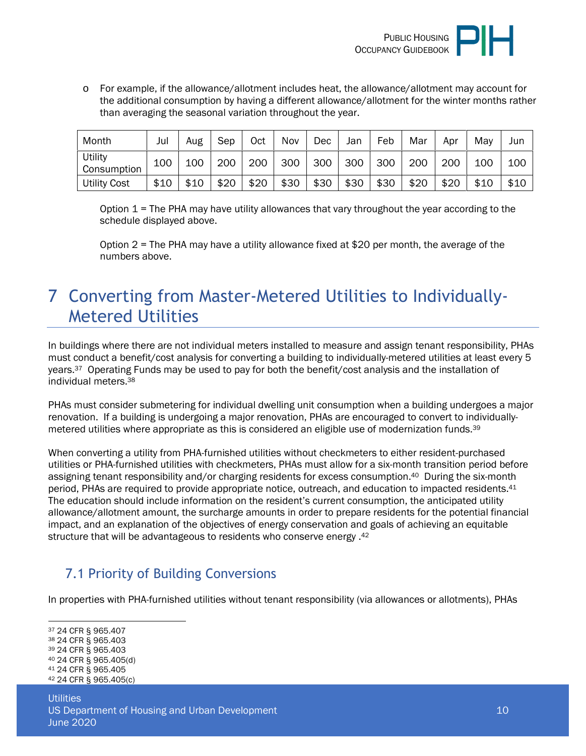

o For example, if the allowance/allotment includes heat, the allowance/allotment may account for the additional consumption by having a different allowance/allotment for the winter months rather than averaging the seasonal variation throughout the year.

| Month                  | Jul  | Aug  | Sep  | Oct  | Nov  | <b>Dec</b> | Jan  | Feb  | Mar  | Apr  | May  | Jun  |
|------------------------|------|------|------|------|------|------------|------|------|------|------|------|------|
| Utility<br>Consumption | 100  | 100  | 200  | 200  | 300  | 300        | 300  | 300  | 200  | 200  | 100  | 100  |
| <b>Utility Cost</b>    | \$10 | \$10 | \$20 | \$20 | \$30 | \$30       | \$30 | \$30 | \$20 | \$20 | \$10 | \$10 |

Option  $1$  = The PHA may have utility allowances that vary throughout the year according to the schedule displayed above.

Option 2 = The PHA may have a utility allowance fixed at \$20 per month, the average of the numbers above.

## <span id="page-9-0"></span>7 Converting from Master-Metered Utilities to Individually-Metered Utilities

In buildings where there are not individual meters installed to measure and assign tenant responsibility, PHAs must conduct a benefit/cost analysis for converting a building to individually-metered utilities at least every 5 years.37 Operating Funds may be used to pay for both the benefit/cost analysis and the installation of individual meters.<sup>38</sup>

PHAs must consider submetering for individual dwelling unit consumption when a building undergoes a major renovation. If a building is undergoing a major renovation, PHAs are encouraged to convert to individuallymetered utilities where appropriate as this is considered an eligible use of modernization funds.<sup>39</sup>

When converting a utility from PHA-furnished utilities without checkmeters to either resident-purchased utilities or PHA-furnished utilities with checkmeters, PHAs must allow for a six-month transition period before assigning tenant responsibility and/or charging residents for excess consumption.40 During the six-month period, PHAs are required to provide appropriate notice, outreach, and education to impacted residents.<sup>41</sup> The education should include information on the resident's current consumption, the anticipated utility allowance/allotment amount, the surcharge amounts in order to prepare residents for the potential financial impact, and an explanation of the objectives of energy conservation and goals of achieving an equitable structure that will be advantageous to residents who conserve energy .<sup>42</sup>

#### <span id="page-9-1"></span>7.1 Priority of Building Conversions

In properties with PHA-furnished utilities without tenant responsibility (via allowances or allotments), PHAs

<sup>37</sup> 24 CFR § 965.407

<sup>38</sup> 24 CFR § 965.403 <sup>39</sup> 24 CFR § 965.403

<sup>40</sup> 24 CFR § 965.405(d)

<sup>41</sup> 24 CFR § 965.405

<sup>42</sup> 24 CFR § 965.405(c)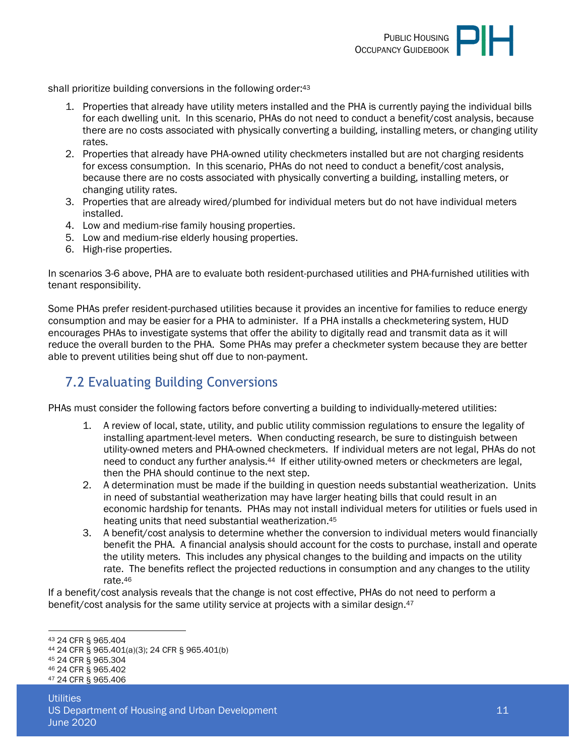

shall prioritize building conversions in the following order:<sup>43</sup>

- 1. Properties that already have utility meters installed and the PHA is currently paying the individual bills for each dwelling unit. In this scenario, PHAs do not need to conduct a benefit/cost analysis, because there are no costs associated with physically converting a building, installing meters, or changing utility rates.
- 2. Properties that already have PHA-owned utility checkmeters installed but are not charging residents for excess consumption. In this scenario, PHAs do not need to conduct a benefit/cost analysis, because there are no costs associated with physically converting a building, installing meters, or changing utility rates.
- 3. Properties that are already wired/plumbed for individual meters but do not have individual meters installed.
- 4. Low and medium-rise family housing properties.
- 5. Low and medium-rise elderly housing properties.
- 6. High-rise properties.

In scenarios 3-6 above, PHA are to evaluate both resident-purchased utilities and PHA-furnished utilities with tenant responsibility.

Some PHAs prefer resident-purchased utilities because it provides an incentive for families to reduce energy consumption and may be easier for a PHA to administer. If a PHA installs a checkmetering system, HUD encourages PHAs to investigate systems that offer the ability to digitally read and transmit data as it will reduce the overall burden to the PHA. Some PHAs may prefer a checkmeter system because they are better able to prevent utilities being shut off due to non-payment.

#### <span id="page-10-0"></span>7.2 Evaluating Building Conversions

PHAs must consider the following factors before converting a building to individually-metered utilities:

- 1. A review of local, state, utility, and public utility commission regulations to ensure the legality of installing apartment-level meters. When conducting research, be sure to distinguish between utility-owned meters and PHA-owned checkmeters. If individual meters are not legal, PHAs do not need to conduct any further analysis.44 If either utility-owned meters or checkmeters are legal, then the PHA should continue to the next step.
- 2. A determination must be made if the building in question needs substantial weatherization. Units in need of substantial weatherization may have larger heating bills that could result in an economic hardship for tenants. PHAs may not install individual meters for utilities or fuels used in heating units that need substantial weatherization.<sup>45</sup>
- 3. A benefit/cost analysis to determine whether the conversion to individual meters would financially benefit the PHA. A financial analysis should account for the costs to purchase, install and operate the utility meters. This includes any physical changes to the building and impacts on the utility rate. The benefits reflect the projected reductions in consumption and any changes to the utility rate.<sup>46</sup>

If a benefit/cost analysis reveals that the change is not cost effective, PHAs do not need to perform a benefit/cost analysis for the same utility service at projects with a similar design.<sup>47</sup>

<sup>43</sup> 24 CFR § 965.404

<sup>44</sup> 24 CFR § 965.401(a)(3); 24 CFR § 965.401(b)

<sup>45</sup> 24 CFR § 965.304

<sup>46</sup> 24 CFR § 965.402

<sup>47</sup> 24 CFR § 965.406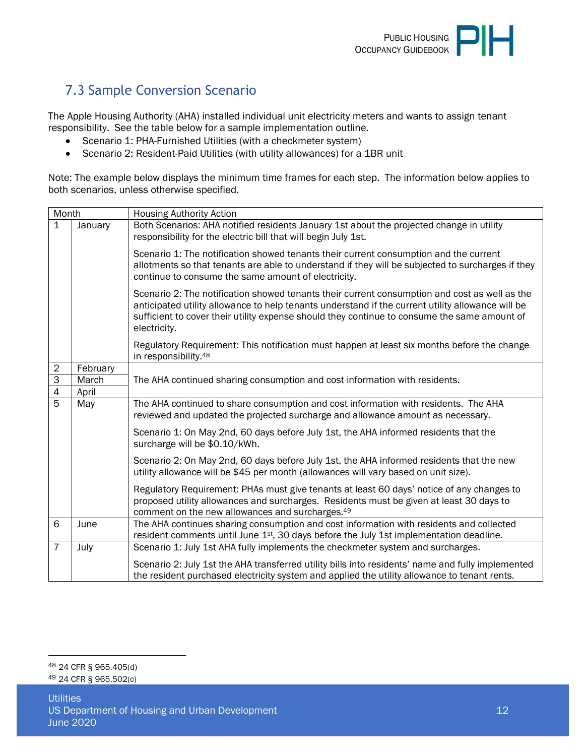### <span id="page-11-0"></span>7.3 Sample Conversion Scenario

The Apple Housing Authority (AHA) installed individual unit electricity meters and wants to assign tenant responsibility. See the table below for a sample implementation outline.

- Scenario 1: PHA-Furnished Utilities (with a checkmeter system)
- Scenario 2: Resident-Paid Utilities (with utility allowances) for a 1BR unit

Note: The example below displays the minimum time frames for each step. The information below applies to both scenarios, unless otherwise specified.

| Month            |          | <b>Housing Authority Action</b>                                                                                                                                                                                                                                                                                    |  |  |  |  |  |  |
|------------------|----------|--------------------------------------------------------------------------------------------------------------------------------------------------------------------------------------------------------------------------------------------------------------------------------------------------------------------|--|--|--|--|--|--|
| 1                | January  | Both Scenarios: AHA notified residents January 1st about the projected change in utility<br>responsibility for the electric bill that will begin July 1st.                                                                                                                                                         |  |  |  |  |  |  |
|                  |          | Scenario 1: The notification showed tenants their current consumption and the current<br>allotments so that tenants are able to understand if they will be subjected to surcharges if they<br>continue to consume the same amount of electricity.                                                                  |  |  |  |  |  |  |
|                  |          | Scenario 2: The notification showed tenants their current consumption and cost as well as the<br>anticipated utility allowance to help tenants understand if the current utility allowance will be<br>sufficient to cover their utility expense should they continue to consume the same amount of<br>electricity. |  |  |  |  |  |  |
|                  |          | Regulatory Requirement: This notification must happen at least six months before the change<br>in responsibility. <sup>48</sup>                                                                                                                                                                                    |  |  |  |  |  |  |
| $\boldsymbol{2}$ | February |                                                                                                                                                                                                                                                                                                                    |  |  |  |  |  |  |
| $\overline{3}$   | March    | The AHA continued sharing consumption and cost information with residents.                                                                                                                                                                                                                                         |  |  |  |  |  |  |
| $\overline{4}$   | April    |                                                                                                                                                                                                                                                                                                                    |  |  |  |  |  |  |
| 5                | May      | The AHA continued to share consumption and cost information with residents. The AHA<br>reviewed and updated the projected surcharge and allowance amount as necessary.                                                                                                                                             |  |  |  |  |  |  |
|                  |          | Scenario 1: On May 2nd, 60 days before July 1st, the AHA informed residents that the<br>surcharge will be \$0.10/kWh.                                                                                                                                                                                              |  |  |  |  |  |  |
|                  |          | Scenario 2: On May 2nd, 60 days before July 1st, the AHA informed residents that the new<br>utility allowance will be \$45 per month (allowances will vary based on unit size).                                                                                                                                    |  |  |  |  |  |  |
|                  |          | Regulatory Requirement: PHAs must give tenants at least 60 days' notice of any changes to<br>proposed utility allowances and surcharges. Residents must be given at least 30 days to<br>comment on the new allowances and surcharges. <sup>49</sup>                                                                |  |  |  |  |  |  |
| 6                | June     | The AHA continues sharing consumption and cost information with residents and collected<br>resident comments until June 1 <sup>st</sup> , 30 days before the July 1st implementation deadline.                                                                                                                     |  |  |  |  |  |  |
| $\overline{7}$   | July     | Scenario 1: July 1st AHA fully implements the checkmeter system and surcharges.                                                                                                                                                                                                                                    |  |  |  |  |  |  |
|                  |          | Scenario 2: July 1st the AHA transferred utility bills into residents' name and fully implemented<br>the resident purchased electricity system and applied the utility allowance to tenant rents.                                                                                                                  |  |  |  |  |  |  |